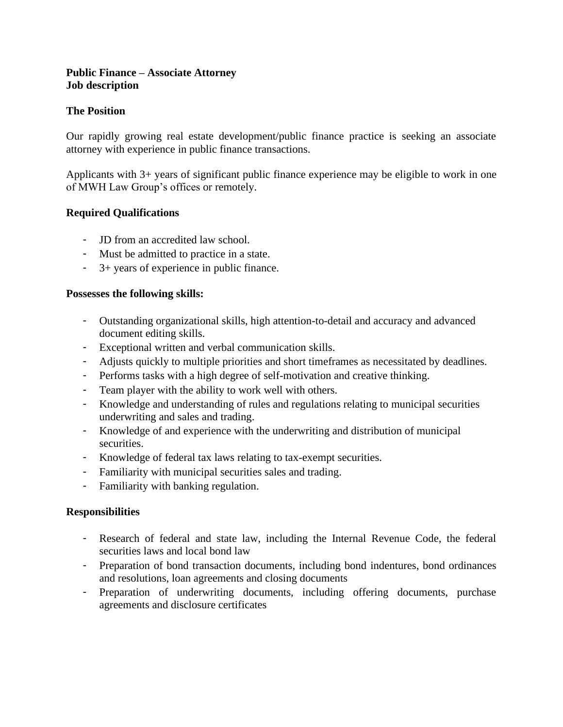### **Public Finance – Associate Attorney Job description**

# **The Position**

Our rapidly growing real estate development/public finance practice is seeking an associate attorney with experience in public finance transactions.

Applicants with 3+ years of significant public finance experience may be eligible to work in one of MWH Law Group's offices or remotely.

## **Required Qualifications**

- JD from an accredited law school.
- Must be admitted to practice in a state.
- 3+ years of experience in public finance.

### **Possesses the following skills:**

- Outstanding organizational skills, high attention-to-detail and accuracy and advanced document editing skills.
- Exceptional written and verbal communication skills.
- Adjusts quickly to multiple priorities and short timeframes as necessitated by deadlines.
- Performs tasks with a high degree of self-motivation and creative thinking.
- Team player with the ability to work well with others.
- Knowledge and understanding of rules and regulations relating to municipal securities underwriting and sales and trading.
- Knowledge of and experience with the underwriting and distribution of municipal securities.
- Knowledge of federal tax laws relating to tax-exempt securities.
- Familiarity with municipal securities sales and trading.
- Familiarity with banking regulation.

### **Responsibilities**

- Research of federal and state law, including the Internal Revenue Code, the federal securities laws and local bond law
- Preparation of bond transaction documents, including bond indentures, bond ordinances and resolutions, loan agreements and closing documents
- Preparation of underwriting documents, including offering documents, purchase agreements and disclosure certificates